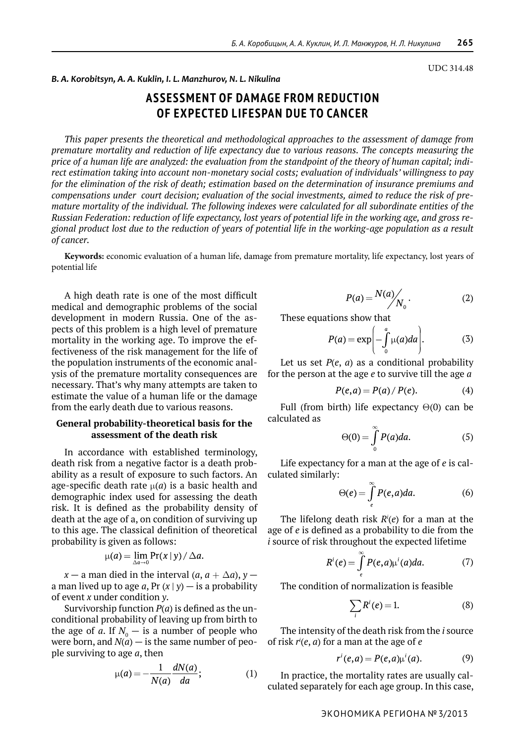UDC 314.48

### *B. A. Korobitsyn, A. A. Kuklin, I. L. Manzhurov, N. L. Nikulina*

# **Assessment of damage from reduction of expected lifespan due to cancer**

*This paper presents the theoretical and methodological approaches to the assessment of damage from premature mortality and reduction of life expectancy due to various reasons. The concepts measuring the price of a human life are analyzed: the evaluation from the standpoint of the theory of human capital; indirect estimation taking into account non-monetary social costs; evaluation of individuals' willingness to pay for the elimination of the risk of death; estimation based on the determination of insurance premiums and compensations under court decision; evaluation of the social investments, aimed to reduce the risk of premature mortality of the individual. The following indexes were calculated for all subordinate entities of the Russian Federation: reduction of life expectancy, lost years of potential life in the working age, and gross regional product lost due to the reduction of years of potential life in the working-age population as a result of cancer.*

**Keywords:** economic evaluation of a human life, damage from premature mortality, life expectancy, lost years of potential life

A high death rate is one of the most difficult medical and demographic problems of the social development in modern Russia. One of the aspects of this problem is a high level of premature mortality in the working age. To improve the effectiveness of the risk management for the life of the population instruments of the economic analysis of the premature mortality consequences are necessary. That's why many attempts are taken to estimate the value of a human life or the damage from the early death due to various reasons.

# **General probability-theoretical basis for the assessment of the death risk**

In accordance with established terminology, death risk from a negative factor is a death probability as a result of exposure to such factors. An age-specific death rate  $\mu$ (*a*) is a basic health and demographic index used for assessing the death risk. It is defined as the probability density of death at the age of a, on condition of surviving up to this age. The classical definition of theoretical probability is given as follows:

$$
\mu(a) = \lim_{\Delta a \to 0} \Pr(x \mid y) / \Delta a.
$$

*x* — a man died in the interval  $(a, a + \Delta a)$ , *y* a man lived up to age  $a$ , Pr  $(x | y)$  — is a probability of event *x* under condition *y*.

Survivorship function *P*(*a*) is defined as the unconditional probability of leaving up from birth to the age of  $a$ . If  $N_{0}$   $-$  is a number of people who were born, and  $N(a)$  — is the same number of people surviving to age *a*, then

$$
\mu(a) = -\frac{1}{N(a)} \frac{dN(a)}{da};\tag{1}
$$

$$
P(a) = \frac{N(a)}{N_0}.\tag{2}
$$

These equations show that

$$
P(a) = \exp\left(-\int_{0}^{a} \mu(a) da\right).
$$
 (3)

Let us set  $P(e, a)$  as a conditional probability for the person at the age *e* to survive till the age *a*

$$
P(e, a) = P(a) / P(e).
$$
 (4)

Full (from birth) life expectancy  $\Theta(0)$  can be calculated as

$$
\Theta(0) = \int_{0}^{\infty} P(a) da.
$$
 (5)

Life expectancy for a man at the age of *e* is calculated similarly:

$$
\Theta(e) = \int\limits_{e}^{\infty} P(e, a) da.
$$
 (6)

The lifelong death risk *Ri* (*e*) for a man at the age of *e* is defined as a probability to die from the *i* source of risk throughout the expected lifetime

$$
R^{i}(e) = \int\limits_{e}^{\infty} P(e,a)\mu^{i}(a)da.
$$
 (7)

The condition of normalization is feasible

$$
\sum_{i} R^{i}(e) = 1.
$$
 (8)

The intensity of the death risk from the *i* source of risk *ri* (*e*, *a*) for a man at the age of *e*

$$
r'(e,a) = P(e,a)\mu'(a).
$$
 (9)

In practice, the mortality rates are usually calculated separately for each age group. In this case,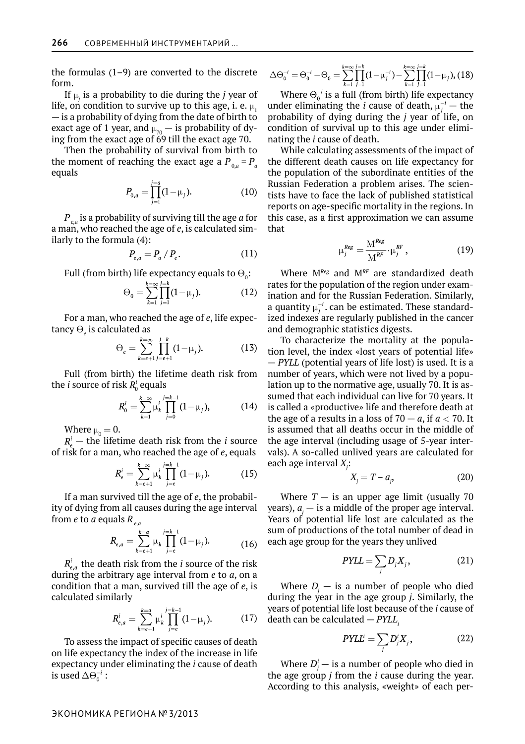the formulas (1–9) are converted to the discrete form.

If  $\mu_j$  is a probability to die during the *j* year of life, on condition to survive up to this age, i. e.  $\mu$ . — is a probability of dying from the date of birth to exact age of 1 year, and  $\mu_{70}$  — is probability of dying from the exact age of 69 till the exact age 70.

Then the probability of survival from birth to the moment of reaching the exact age a  $P_{0a} = P_{a}$ equals

$$
P_{0,a} = \prod_{j=1}^{j=a} (1 - \mu_j). \tag{10}
$$

*Pe,a* is a probability of surviving till the age *a* for a man, who reached the age of *e*, is calculated similarly to the formula (4):

$$
P_{e,a} = P_a / P_e. \tag{11}
$$

Full (from birth) life expectancy equals to  $\Theta_0$ :

$$
\Theta_0 = \sum_{k=1}^{k=\infty} \prod_{j=1}^{j=k} (1 - \mu_j). \tag{12}
$$

For a man, who reached the age of *e*, life expectancy  $\Theta_{_{e}}$  is calculated as

$$
\Theta_e = \sum_{k=e+1}^{k=\infty} \prod_{j=e+1}^{j=k} (1-\mu_j). \tag{13}
$$

Full (from birth) the lifetime death risk from the *i* source of risk  $R_0^i$  equals

$$
R_0^i = \sum_{k=1}^{k=\infty} \mu_k^i \prod_{j=0}^{j=k-1} (1 - \mu_j), \qquad (14)
$$

Where  $\mu_0 = 0$ .

 $R_{\alpha}^{i}$  – the lifetime death risk from the *i* source of risk for a man, who reached the age of *e*, equals

$$
R_e^i = \sum_{k=e+1}^{k=\infty} \mu_k^i \prod_{j=e}^{j=k-1} (1-\mu_j). \tag{15}
$$

If a man survived till the age of *e*, the probability of dying from all causes during the age interval from *e* to *a* equals *Re,a*

$$
R_{e,a} = \sum_{k=e+1}^{k=a} \mu_k \prod_{j=e}^{j=k-1} (1 - \mu_j). \tag{16}
$$

 $R_{e,a}^{t}$  the death risk from the *i* source of the risk during the arbitrary age interval from *e* to *a*, on a condition that a man, survived till the age of *e*, is calculated similarly

$$
R_{e,a}^i = \sum_{k=e+1}^{k=a} \mu_k^i \prod_{j=e}^{j=k-1} (1-\mu_j). \tag{17}
$$

To assess the impact of specific causes of death on life expectancy the index of the increase in life expectancy under eliminating the *i* cause of death is used  $\Delta \Theta_0^{-i}$  :

$$
\Delta \Theta_0^{-i} = \Theta_0^{-i} - \Theta_0 = \sum_{k=1}^{k=\infty} \prod_{j=1}^{j=k} (1 - \mu_j^{-i}) - \sum_{k=1}^{k=\infty} \prod_{j=1}^{j=k} (1 - \mu_j), (18)
$$

Where  $\Theta_0^{-i}$  is a full (from birth) life expectancy under eliminating the *i* cause of death,  $\mu_i^{-i}$  – the probability of dying during the *j* year of life, on condition of survival up to this age under eliminating the *i* cause of death.

While calculating assessments of the impact of the different death causes on life expectancy for the population of the subordinate entities of the Russian Federation a problem arises. The scientists have to face the lack of published statistical reports on age-specific mortality in the regions. In this case, as a first approximation we can assume that

$$
\mu_j^{Reg} = \frac{\mathbf{M}^{Reg}}{\mathbf{M}^{RF}} \cdot \mu_j^{RF}, \qquad (19)
$$

Where M*Reg* and M*RF* are standardized death rates for the population of the region under examination and for the Russian Federation. Similarly, a quantity  $\mu_i^{-i}$ . can be estimated. These standardized indexes are regularly published in the cancer and demographic statistics digests.

To characterize the mortality at the population level, the index «lost years of potential life» — *PYLL* (potential years of life lost) is used. It is a number of years, which were not lived by a population up to the normative age, usually 70. It is assumed that each individual can live for 70 years. It is called a «productive» life and therefore death at the age of a results in a loss of  $70 - a$ , if  $a < 70$ . It is assumed that all deaths occur in the middle of the age interval (including usage of 5-year intervals). A so-called unlived years are calculated for each age interval *X<sup>j</sup>* :

$$
X_j = T - a_j,\tag{20}
$$

Where  $T -$  is an upper age limit (usually 70 years),  $a_j$  — is a middle of the proper age interval. Years of potential life lost are calculated as the sum of productions of the total number of dead in each age group for the years they unlived

$$
PYLL = \sum_{j} D_j X_j, \qquad (21)
$$

Where  $D_j$  – is a number of people who died during the year in the age group *j*. Similarly, the years of potential life lost because of the *i* cause of death can be calculated *— PYLL*<sub>i</sub>

$$
PYLL^i = \sum_j D_j^i X_j, \qquad (22)
$$

Where  $D_i^{\prime}$  – is a number of people who died in the age group *j* from the *i* cause during the year. According to this analysis, «weight» of each per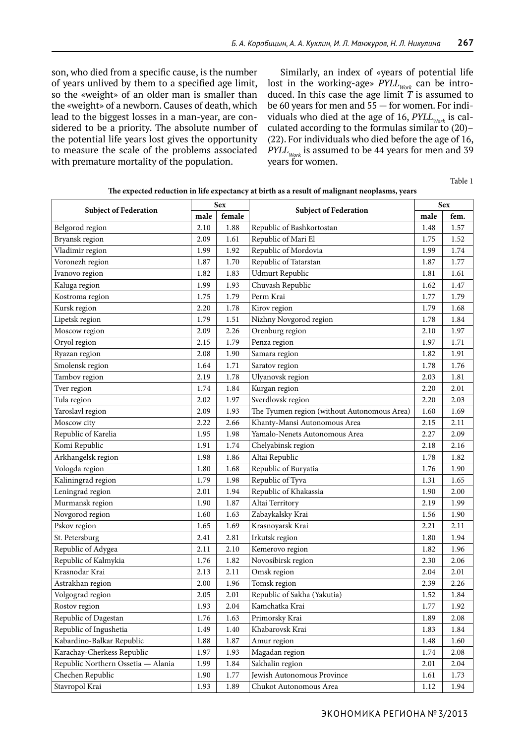son, who died from a specific cause, is the number of years unlived by them to a specified age limit, so the «weight» of an older man is smaller than the «weight» of a newborn. Causes of death, which lead to the biggest losses in a man-year, are considered to be a priority. The absolute number of the potential life years lost gives the opportunity to measure the scale of the problems associated with premature mortality of the population.

Similarly, an index of «years of potential life lost in the working-age»  $\text{PYLL}_{\text{Work}}$  can be introduced. In this case the age limit *T* is assumed to be 60 years for men and 55 — for women. For individuals who died at the age of 16,  $PYLL_{work}$  is calculated according to the formulas similar to (20)– (22). For individuals who died before the age of 16,  $PYLL_{work}$  is assumed to be 44 years for men and 39 years for women.

Table 1

|  | The expected reduction in life expectancy at birth as a result of malignant neoplasms, years |
|--|----------------------------------------------------------------------------------------------|
|--|----------------------------------------------------------------------------------------------|

| <b>Subject of Federation</b>       | <b>Sex</b> |        |                                             | <b>Sex</b> |      |
|------------------------------------|------------|--------|---------------------------------------------|------------|------|
|                                    | male       | female | <b>Subject of Federation</b>                | male       | fem. |
| Belgorod region                    | 2.10       | 1.88   | Republic of Bashkortostan                   | 1.48       | 1.57 |
| Bryansk region                     | 2.09       | 1.61   | Republic of Mari El                         | 1.75       | 1.52 |
| Vladimir region                    | 1.99       | 1.92   | Republic of Mordovia                        | 1.99       | 1.74 |
| Voronezh region                    | 1.87       | 1.70   | Republic of Tatarstan                       | 1.87       | 1.77 |
| Ivanovo region                     | 1.82       | 1.83   | Udmurt Republic                             | 1.81       | 1.61 |
| Kaluga region                      | 1.99       | 1.93   | Chuvash Republic                            | 1.62       | 1.47 |
| Kostroma region                    | 1.75       | 1.79   | Perm Krai                                   | 1.77       | 1.79 |
| Kursk region                       | 2.20       | 1.78   | Kirov region                                | 1.79       | 1.68 |
| Lipetsk region                     | 1.79       | 1.51   | Nizhny Novgorod region                      | 1.78       | 1.84 |
| Moscow region                      | 2.09       | 2.26   | Orenburg region                             | 2.10       | 1.97 |
| Oryol region                       | 2.15       | 1.79   | Penza region                                | 1.97       | 1.71 |
| Ryazan region                      | 2.08       | 1.90   | Samara region                               | 1.82       | 1.91 |
| Smolensk region                    | 1.64       | 1.71   | Saratov region                              | 1.78       | 1.76 |
| Tambov region                      | 2.19       | 1.78   | Ulyanovsk region                            | 2.03       | 1.81 |
| Tver region                        | 1.74       | 1.84   | Kurgan region                               | 2.20       | 2.01 |
| Tula region                        | 2.02       | 1.97   | Sverdlovsk region                           | 2.20       | 2.03 |
| Yaroslavl region                   | 2.09       | 1.93   | The Tyumen region (without Autonomous Area) | 1.60       | 1.69 |
| Moscow city                        | 2.22       | 2.66   | Khanty-Mansi Autonomous Area                | 2.15       | 2.11 |
| Republic of Karelia                | 1.95       | 1.98   | Yamalo-Nenets Autonomous Area               | 2.27       | 2.09 |
| Komi Republic                      | 1.91       | 1.74   | Chelyabinsk region                          | 2.18       | 2.16 |
| Arkhangelsk region                 | 1.98       | 1.86   | Altai Republic                              | 1.78       | 1.82 |
| Vologda region                     | 1.80       | 1.68   | Republic of Buryatia                        | 1.76       | 1.90 |
| Kaliningrad region                 | 1.79       | 1.98   | Republic of Tyva                            | 1.31       | 1.65 |
| Leningrad region                   | 2.01       | 1.94   | Republic of Khakassia                       | 1.90       | 2.00 |
| Murmansk region                    | 1.90       | 1.87   | Altai Territory                             | 2.19       | 1.99 |
| Novgorod region                    | 1.60       | 1.63   | Zabaykalsky Krai                            | 1.56       | 1.90 |
| Pskov region                       | 1.65       | 1.69   | Krasnoyarsk Krai                            | 2.21       | 2.11 |
| St. Petersburg                     | 2.41       | 2.81   | Irkutsk region                              | 1.80       | 1.94 |
| Republic of Adygea                 | 2.11       | 2.10   | Kemerovo region                             | 1.82       | 1.96 |
| Republic of Kalmykia               | 1.76       | 1.82   | Novosibirsk region                          | 2.30       | 2.06 |
| Krasnodar Krai                     | 2.13       | 2.11   | Omsk region                                 | 2.04       | 2.01 |
| Astrakhan region                   | 2.00       | 1.96   | Tomsk region                                | 2.39       | 2.26 |
| Volgograd region                   | 2.05       | 2.01   | Republic of Sakha (Yakutia)                 | 1.52       | 1.84 |
| Rostov region                      | 1.93       | 2.04   | Kamchatka Krai                              | 1.77       | 1.92 |
| Republic of Dagestan               | 1.76       | 1.63   | Primorsky Krai                              | 1.89       | 2.08 |
| Republic of Ingushetia             | 1.49       | 1.40   | Khabarovsk Krai                             | 1.83       | 1.84 |
| Kabardino-Balkar Republic          | 1.88       | 1.87   | Amur region                                 | 1.48       | 1.60 |
| Karachay-Cherkess Republic         | 1.97       | 1.93   | Magadan region                              | 1.74       | 2.08 |
| Republic Northern Ossetia - Alania | 1.99       | 1.84   | Sakhalin region                             | 2.01       | 2.04 |
| Chechen Republic                   | 1.90       | 1.77   | Jewish Autonomous Province                  | 1.61       | 1.73 |
| Stavropol Krai                     | 1.93       | 1.89   | Chukot Autonomous Area                      | 1.12       | 1.94 |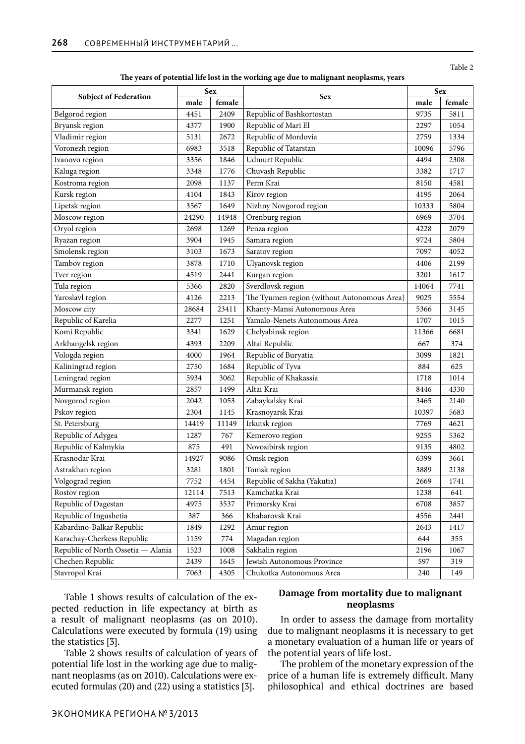## Table 2

### **The years of potential life lost in the working age due to malignant neoplasms, years**

| <b>Subject of Federation</b>       | <b>Sex</b> |        |                                             | <b>Sex</b> |        |
|------------------------------------|------------|--------|---------------------------------------------|------------|--------|
|                                    | male       | female | <b>Sex</b>                                  | male       | female |
| Belgorod region                    | 4451       | 2409   | Republic of Bashkortostan                   | 9735       | 5811   |
| Bryansk region                     | 4377       | 1900   | Republic of Mari El                         | 2297       | 1054   |
| Vladimir region                    | 5131       | 2672   | Republic of Mordovia                        | 2759       | 1334   |
| Voronezh region                    | 6983       | 3518   | Republic of Tatarstan                       | 10096      | 5796   |
| Ivanovo region                     | 3356       | 1846   | <b>Udmurt Republic</b>                      | 4494       | 2308   |
| Kaluga region                      | 3348       | 1776   | Chuvash Republic                            | 3382       | 1717   |
| Kostroma region                    | 2098       | 1137   | Perm Krai                                   | 8150       | 4581   |
| Kursk region                       | 4104       | 1843   | Kirov region                                | 4195       | 2064   |
| Lipetsk region                     | 3567       | 1649   | Nizhny Novgorod region                      | 10333      | 5804   |
| Moscow region                      | 24290      | 14948  | Orenburg region                             | 6969       | 3704   |
| Oryol region                       | 2698       | 1269   | Penza region                                | 4228       | 2079   |
| Ryazan region                      | 3904       | 1945   | Samara region                               | 9724       | 5804   |
| Smolensk region                    | 3103       | 1673   | Saratov region                              | 7097       | 4052   |
| Tambov region                      | 3878       | 1710   | Ulyanovsk region                            | 4406       | 2199   |
| Tver region                        | 4519       | 2441   | Kurgan region                               | 3201       | 1617   |
| Tula region                        | 5366       | 2820   | Sverdlovsk region                           | 14064      | 7741   |
| Yaroslavl region                   | 4126       | 2213   | The Tyumen region (without Autonomous Area) | 9025       | 5554   |
| Moscow city                        | 28684      | 23411  | Khanty-Mansi Autonomous Area                | 5366       | 3145   |
| Republic of Karelia                | 2277       | 1251   | Yamalo-Nenets Autonomous Area               | 1707       | 1015   |
| Komi Republic                      | 3341       | 1629   | Chelyabinsk region                          | 11366      | 6681   |
| Arkhangelsk region                 | 4393       | 2209   | Altai Republic                              | 667        | 374    |
| Vologda region                     | 4000       | 1964   | Republic of Buryatia                        | 3099       | 1821   |
| Kaliningrad region                 | 2750       | 1684   | Republic of Tyva                            | 884        | 625    |
| Leningrad region                   | 5934       | 3062   | Republic of Khakassia                       | 1718       | 1014   |
| Murmansk region                    | 2857       | 1499   | Altai Krai                                  | 8446       | 4330   |
| Novgorod region                    | 2042       | 1053   | Zabaykalsky Krai                            | 3465       | 2140   |
| Pskov region                       | 2304       | 1145   | Krasnoyarsk Krai                            | 10397      | 5683   |
| St. Petersburg                     | 14419      | 11149  | Irkutsk region                              | 7769       | 4621   |
| Republic of Adygea                 | 1287       | 767    | Kemerovo region                             | 9255       | 5362   |
| Republic of Kalmykia               | 875        | 491    | Novosibirsk region                          | 9135       | 4802   |
| Krasnodar Krai                     | 14927      | 9086   | Omsk region                                 | 6399       | 3661   |
| Astrakhan region                   | 3281       | 1801   | Tomsk region                                | 3889       | 2138   |
| Volgograd region                   | 7752       | 4454   | Republic of Sakha (Yakutia)                 | 2669       | 1741   |
| Rostov region                      | 12114      | 7513   | Kamchatka Krai                              | 1238       | 641    |
| Republic of Dagestan               | 4975       | 3537   | Primorsky Krai                              | 6708       | 3857   |
| Republic of Ingushetia             | 387        | 366    | Khabarovsk Krai                             | 4556       | 2441   |
| Kabardino-Balkar Republic          | 1849       | 1292   | Amur region                                 | 2643       | 1417   |
| Karachay-Cherkess Republic         | 1159       | 774    | Magadan region                              | 644        | 355    |
| Republic of North Ossetia - Alania | 1523       | 1008   | Sakhalin region                             | 2196       | 1067   |
| Chechen Republic                   | 2439       | 1645   | Jewish Autonomous Province                  | 597        | 319    |
| Stavropol Krai                     | 7063       | 4305   | Chukotka Autonomous Area                    | 240        | 149    |

Table 1 shows results of calculation of the expected reduction in life expectancy at birth as a result of malignant neoplasms (as on 2010). Calculations were executed by formula (19) using the statistics [3].

Table 2 shows results of calculation of years of potential life lost in the working age due to malignant neoplasms (as on 2010). Calculations were executed formulas (20) and (22) using a statistics [3].

# **Damage from mortality due to malignant neoplasms**

In order to assess the damage from mortality due to malignant neoplasms it is necessary to get a monetary evaluation of a human life or years of the potential years of life lost.

The problem of the monetary expression of the price of a human life is extremely difficult. Many philosophical and ethical doctrines are based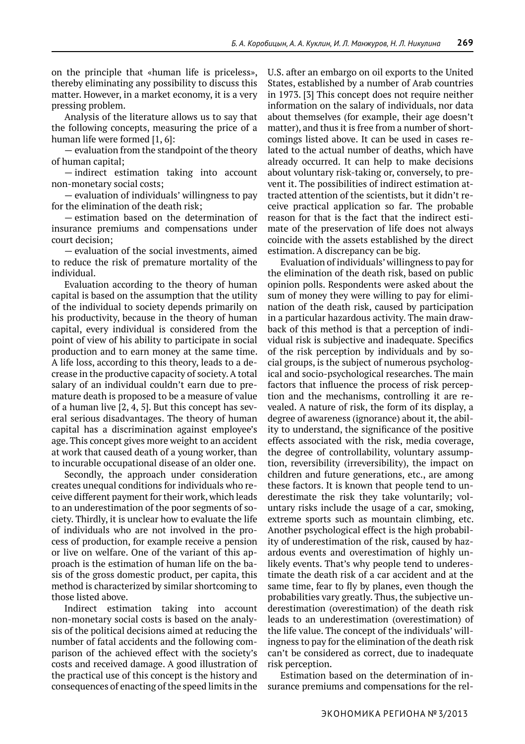on the principle that «human life is priceless», thereby eliminating any possibility to discuss this matter. However, in a market economy, it is a very pressing problem.

Analysis of the literature allows us to say that the following concepts, measuring the price of a human life were formed [1, 6]:

— evaluation from the standpoint of the theory of human capital;

— indirect estimation taking into account non-monetary social costs;

— evaluation of individuals' willingness to pay for the elimination of the death risk;

— estimation based on the determination of insurance premiums and compensations under court decision;

— evaluation of the social investments, aimed to reduce the risk of premature mortality of the individual.

Evaluation according to the theory of human capital is based on the assumption that the utility of the individual to society depends primarily on his productivity, because in the theory of human capital, every individual is considered from the point of view of his ability to participate in social production and to earn money at the same time. A life loss, according to this theory, leads to a decrease in the productive capacity of society. A total salary of an individual couldn't earn due to premature death is proposed to be a measure of value of a human live [2, 4, 5]. But this concept has several serious disadvantages. The theory of human capital has a discrimination against employee's age. This concept gives more weight to an accident at work that caused death of a young worker, than to incurable occupational disease of an older one.

Secondly, the approach under consideration creates unequal conditions for individuals who receive different payment for their work, which leads to an underestimation of the poor segments of society. Thirdly, it is unclear how to evaluate the life of individuals who are not involved in the process of production, for example receive a pension or live on welfare. One of the variant of this approach is the estimation of human life on the basis of the gross domestic product, per capita, this method is characterized by similar shortcoming to those listed above.

Indirect estimation taking into account non-monetary social costs is based on the analysis of the political decisions aimed at reducing the number of fatal accidents and the following comparison of the achieved effect with the society's costs and received damage. A good illustration of the practical use of this concept is the history and consequences of enacting of the speed limits in the

U.S. after an embargo on oil exports to the United States, established by a number of Arab countries in 1973. [3] This concept does not require neither information on the salary of individuals, nor data about themselves (for example, their age doesn't matter), and thus it is free from a number of shortcomings listed above. It can be used in cases related to the actual number of deaths, which have already occurred. It can help to make decisions about voluntary risk-taking or, conversely, to prevent it. The possibilities of indirect estimation attracted attention of the scientists, but it didn't receive practical application so far. The probable reason for that is the fact that the indirect estimate of the preservation of life does not always coincide with the assets established by the direct estimation. A discrepancy can be big.

Evaluation of individuals' willingness to pay for the elimination of the death risk, based on public opinion polls. Respondents were asked about the sum of money they were willing to pay for elimination of the death risk, caused by participation in a particular hazardous activity. The main drawback of this method is that a perception of individual risk is subjective and inadequate. Specifics of the risk perception by individuals and by social groups, is the subject of numerous psychological and socio-psychological researches. The main factors that influence the process of risk perception and the mechanisms, controlling it are revealed. A nature of risk, the form of its display, a degree of awareness (ignorance) about it, the ability to understand, the significance of the positive effects associated with the risk, media coverage, the degree of controllability, voluntary assumption, reversibility (irreversibility), the impact on children and future generations, etc., are among these factors. It is known that people tend to underestimate the risk they take voluntarily; voluntary risks include the usage of a car, smoking, extreme sports such as mountain climbing, etc. Another psychological effect is the high probability of underestimation of the risk, caused by hazardous events and overestimation of highly unlikely events. That's why people tend to underestimate the death risk of a car accident and at the same time, fear to fly by planes, even though the probabilities vary greatly. Thus, the subjective underestimation (overestimation) of the death risk leads to an underestimation (overestimation) of the life value. The concept of the individuals' willingness to pay for the elimination of the death risk can't be considered as correct, due to inadequate risk perception.

Estimation based on the determination of insurance premiums and compensations for the rel-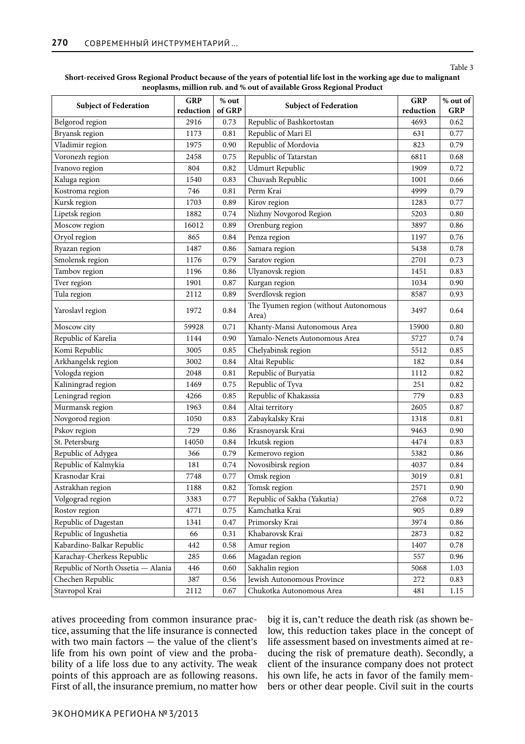### Table 3

#### **Short-received Gross Regional Product because of the years of potential life lost in the working age due to malignant neoplasms, million rub. and % out of available Gross Regional Product**

| <b>Subject of Federation</b>       | <b>GRP</b><br>reduction | $\%$ out<br>of GRP | <b>Subject of Federation</b>                   | <b>GRP</b><br>reduction | % out of<br><b>GRP</b> |
|------------------------------------|-------------------------|--------------------|------------------------------------------------|-------------------------|------------------------|
| Belgorod region                    | 2916                    | 0.73               | Republic of Bashkortostan                      | 4693                    | 0.62                   |
| Bryansk region                     | 1173                    | 0.81               | Republic of Mari El                            | 631                     | 0.77                   |
| Vladimir region                    | 1975                    | 0.90               | Republic of Mordovia                           | 823                     | 0.79                   |
| Voronezh region                    | 2458                    | 0.75               | Republic of Tatarstan                          | 6811                    | 0.68                   |
| Ivanovo region                     | 804                     | 0.82               | Udmurt Republic                                | 1909                    | 0.72                   |
| Kaluga region                      | 1540                    | 0.83               | Chuvash Republic                               | 1001                    | 0.66                   |
| Kostroma region                    | 746                     | 0.81               | Perm Krai                                      | 4999                    | 0.79                   |
| Kursk region                       | 1703                    | 0.89               | Kirov region                                   | 1283                    | 0.77                   |
| Lipetsk region                     | 1882                    | 0.74               | Nizhny Novgorod Region                         | 5203                    | 0.80                   |
| Moscow region                      | 16012                   | 0.89               | Orenburg region                                | 3897                    | 0.86                   |
| Oryol region                       | 865                     | 0.84               | Penza region                                   | 1197                    | 0.76                   |
| Ryazan region                      | 1487                    | 0.86               | Samara region                                  | 5438                    | 0.78                   |
| Smolensk region                    | 1176                    | 0.79               | Saratov region                                 | 2701                    | 0.73                   |
| Tambov region                      | 1196                    | 0.86               | Ulyanovsk region                               | 1451                    | 0.83                   |
| Tver region                        | 1901                    | 0.87               | Kurgan region                                  | 1034                    | 0.90                   |
| Tula region                        | 2112                    | 0.89               | Sverdlovsk region                              | 8587                    | 0.93                   |
| Yaroslavl region                   | 1972                    | 0.84               | The Tyumen region (without Autonomous<br>Area) | 3497                    | 0.64                   |
| Moscow city                        | 59928                   | 0.71               | Khanty-Mansi Autonomous Area                   | 15900                   | 0.80                   |
| Republic of Karelia                | 1144                    | 0.90               | Yamalo-Nenets Autonomous Area                  | 5727                    | 0.74                   |
| Komi Republic                      | 3005                    | 0.85               | Chelyabinsk region                             | 5512                    | 0.85                   |
| Arkhangelsk region                 | 3002                    | 0.84               | Altai Republic                                 | 182                     | 0.84                   |
| Vologda region                     | 2048                    | 0.81               | Republic of Buryatia                           | 1112                    | 0.82                   |
| Kaliningrad region                 | 1469                    | 0.75               | Republic of Tyva                               | 251                     | 0.82                   |
| Leningrad region                   | 4266                    | 0.85               | Republic of Khakassia                          | 779                     | 0.83                   |
| Murmansk region                    | 1963                    | 0.84               | Altai territory                                | 2605                    | 0.87                   |
| Novgorod region                    | 1050                    | 0.83               | Zabaykalsky Krai                               | 1318                    | 0.81                   |
| Pskov region                       | 729                     | 0.86               | Krasnoyarsk Krai                               | 9463                    | 0.90                   |
| St. Petersburg                     | 14050                   | 0.84               | Irkutsk region                                 | 4474                    | 0.83                   |
| Republic of Adygea                 | 366                     | 0.79               | Kemerovo region                                | 5382                    | 0.86                   |
| Republic of Kalmykia               | 181                     | 0.74               | Novosibirsk region                             | 4037                    | 0.84                   |
| Krasnodar Krai                     | 7748                    | 0.77               | Omsk region                                    | 3019                    | 0.81                   |
| Astrakhan region                   | 1188                    | 0.82               | Tomsk region                                   | 2571                    | 0.90                   |
| Volgograd region                   | 3383                    | 0.77               | Republic of Sakha (Yakutia)                    | 2768                    | 0.72                   |
| Rostov region                      | 4771                    | 0.75               | Kamchatka Krai                                 | 905                     | 0.89                   |
| Republic of Dagestan               | 1341                    | 0.47               | Primorsky Krai                                 | 3974                    | 0.86                   |
| Republic of Ingushetia             | 66                      | 0.31               | Khabarovsk Krai                                | 2873                    | 0.82                   |
| Kabardino-Balkar Republic          | 442                     | 0.58               | Amur region                                    | 1407                    | 0.78                   |
| Karachay-Cherkess Republic         | 285                     | 0.66               | Magadan region                                 | 557                     | 0.96                   |
| Republic of North Ossetia - Alania | 446                     | 0.60               | Sakhalin region                                | 5068                    | 1.03                   |
| Chechen Republic                   | 387                     | 0.56               | Jewish Autonomous Province                     | 272                     | 0.83                   |
| Stavropol Krai                     | 2112                    | 0.67               | Chukotka Autonomous Area                       | 481                     | $1.15\,$               |

atives proceeding from common insurance practice, assuming that the life insurance is connected with two main factors — the value of the client's life from his own point of view and the probability of a life loss due to any activity. The weak points of this approach are as following reasons. First of all, the insurance premium, no matter how big it is, can't reduce the death risk (as shown below, this reduction takes place in the concept of life assessment based on investments aimed at reducing the risk of premature death). Secondly, a client of the insurance company does not protect his own life, he acts in favor of the family members or other dear people. Civil suit in the courts